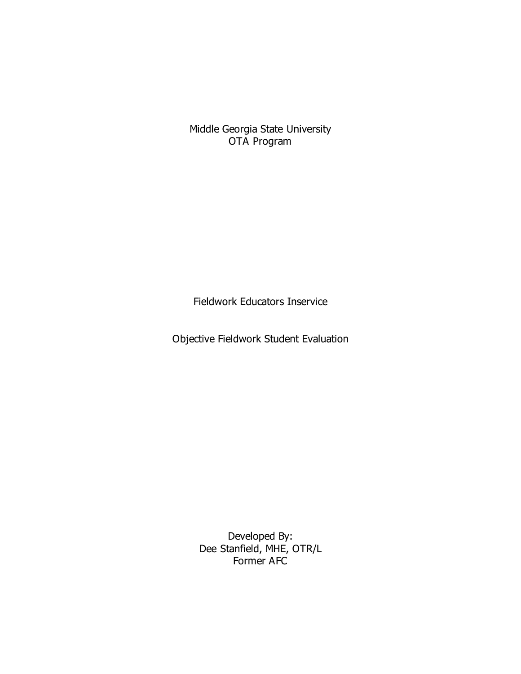Middle Georgia State University OTA Program

Fieldwork Educators Inservice

Objective Fieldwork Student Evaluation

Developed By: Dee Stanfield, MHE, OTR/L Former AFC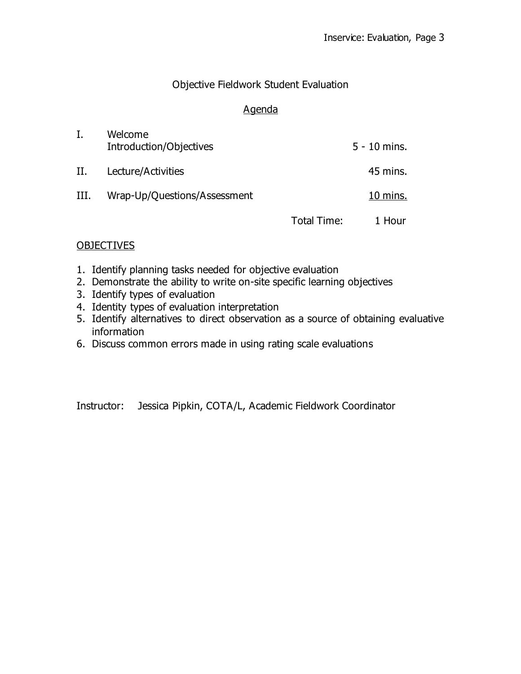#### Objective Fieldwork Student Evaluation

#### Agenda

|    | Welcome<br>Introduction/Objectives |             | $5 - 10$ mins. |
|----|------------------------------------|-------------|----------------|
| Н. | Lecture/Activities                 |             | 45 mins.       |
| Ш. | Wrap-Up/Questions/Assessment       |             | $10$ mins.     |
|    |                                    | Total Time: | 1 Hour         |

#### **OBJECTIVES**

- 1. Identify planning tasks needed for objective evaluation
- 2. Demonstrate the ability to write on-site specific learning objectives
- 3. Identify types of evaluation
- 4. Identity types of evaluation interpretation
- 5. Identify alternatives to direct observation as a source of obtaining evaluative information
- 6. Discuss common errors made in using rating scale evaluations

Instructor: Jessica Pipkin, COTA/L, Academic Fieldwork Coordinator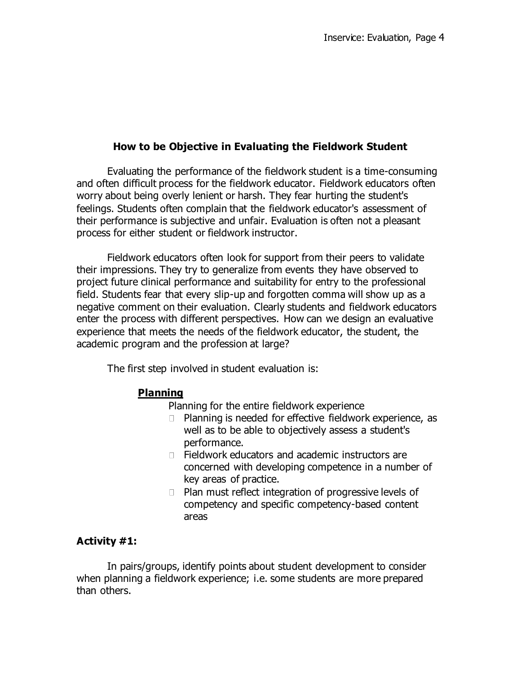### **How to be Objective in Evaluating the Fieldwork Student**

Evaluating the performance of the fieldwork student is a time-consuming and often difficult process for the fieldwork educator. Fieldwork educators often worry about being overly lenient or harsh. They fear hurting the student's feelings. Students often complain that the fieldwork educator's assessment of their performance is subjective and unfair. Evaluation is often not a pleasant process for either student or fieldwork instructor.

Fieldwork educators often look for support from their peers to validate their impressions. They try to generalize from events they have observed to project future clinical performance and suitability for entry to the professional field. Students fear that every slip-up and forgotten comma will show up as a negative comment on their evaluation. Clearly students and fieldwork educators enter the process with different perspectives. How can we design an evaluative experience that meets the needs of the fieldwork educator, the student, the academic program and the profession at large?

The first step involved in student evaluation is:

#### **Planning**

Planning for the entire fieldwork experience

- □ Planning is needed for effective fieldwork experience, as well as to be able to objectively assess a student's performance.
- □ Fieldwork educators and academic instructors are concerned with developing competence in a number of key areas of practice.
- $\Box$  Plan must reflect integration of progressive levels of competency and specific competency-based content areas

#### **Activity #1:**

In pairs/groups, identify points about student development to consider when planning a fieldwork experience; i.e. some students are more prepared than others.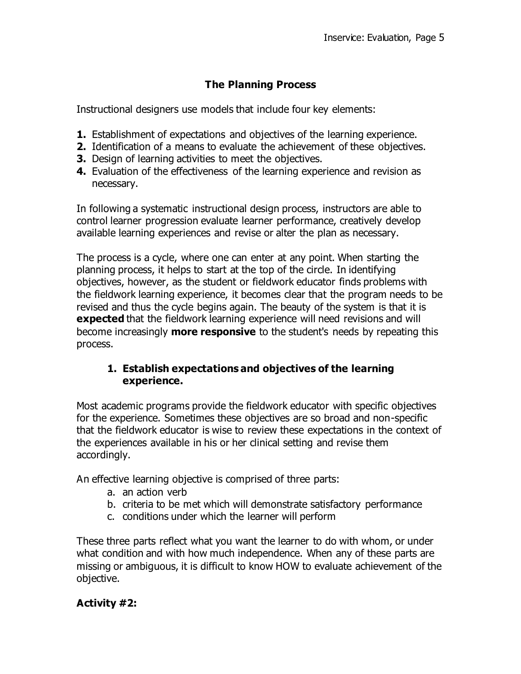### **The Planning Process**

Instructional designers use models that include four key elements:

- **1.** Establishment of expectations and objectives of the learning experience.
- **2.** Identification of a means to evaluate the achievement of these objectives.
- **3.** Design of learning activities to meet the objectives.
- **4.** Evaluation of the effectiveness of the learning experience and revision as necessary.

In following a systematic instructional design process, instructors are able to control learner progression evaluate learner performance, creatively develop available learning experiences and revise or alter the plan as necessary.

The process is a cycle, where one can enter at any point. When starting the planning process, it helps to start at the top of the circle. In identifying objectives, however, as the student or fieldwork educator finds problems with the fieldwork learning experience, it becomes clear that the program needs to be revised and thus the cycle begins again. The beauty of the system is that it is **expected** that the fieldwork learning experience will need revisions and will become increasingly **more responsive** to the student's needs by repeating this process.

### **1. Establish expectations and objectives of the learning experience.**

Most academic programs provide the fieldwork educator with specific objectives for the experience. Sometimes these objectives are so broad and non-specific that the fieldwork educator is wise to review these expectations in the context of the experiences available in his or her clinical setting and revise them accordingly.

An effective learning objective is comprised of three parts:

- a. an action verb
- b. criteria to be met which will demonstrate satisfactory performance
- c. conditions under which the learner will perform

These three parts reflect what you want the learner to do with whom, or under what condition and with how much independence. When any of these parts are missing or ambiguous, it is difficult to know HOW to evaluate achievement of the objective.

### **Activity #2:**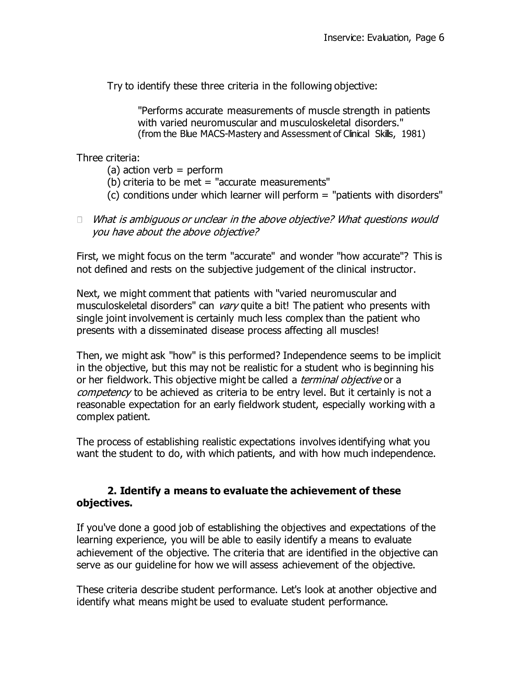Try to identify these three criteria in the following objective:

"Performs accurate measurements of muscle strength in patients with varied neuromuscular and musculoskeletal disorders." (from the Blue MACS-Mastery and Assessment of Clinical Skills, 1981)

Three criteria:

- $(a)$  action verb = perform
- (b) criteria to be met  $=$  "accurate measurements"
- $(c)$  conditions under which learner will perform  $=$  "patients with disorders"
- $\Box$  What is ambiguous or unclear in the above objective? What questions would you have about the above objective?

First, we might focus on the term "accurate" and wonder "how accurate"? This is not defined and rests on the subjective judgement of the clinical instructor.

Next, we might comment that patients with "varied neuromuscular and musculoskeletal disorders" can vary quite a bit! The patient who presents with single joint involvement is certainly much less complex than the patient who presents with a disseminated disease process affecting all muscles!

Then, we might ask "how" is this performed? Independence seems to be implicit in the objective, but this may not be realistic for a student who is beginning his or her fieldwork. This objective might be called a *terminal objective* or a competency to be achieved as criteria to be entry level. But it certainly is not a reasonable expectation for an early fieldwork student, especially working with a complex patient.

The process of establishing realistic expectations involves identifying what you want the student to do, with which patients, and with how much independence.

### **2. Identify a means to evaluate the achievement of these objectives.**

If you've done a good job of establishing the objectives and expectations of the learning experience, you will be able to easily identify a means to evaluate achievement of the objective. The criteria that are identified in the objective can serve as our guideline for how we will assess achievement of the objective.

These criteria describe student performance. Let's look at another objective and identify what means might be used to evaluate student performance.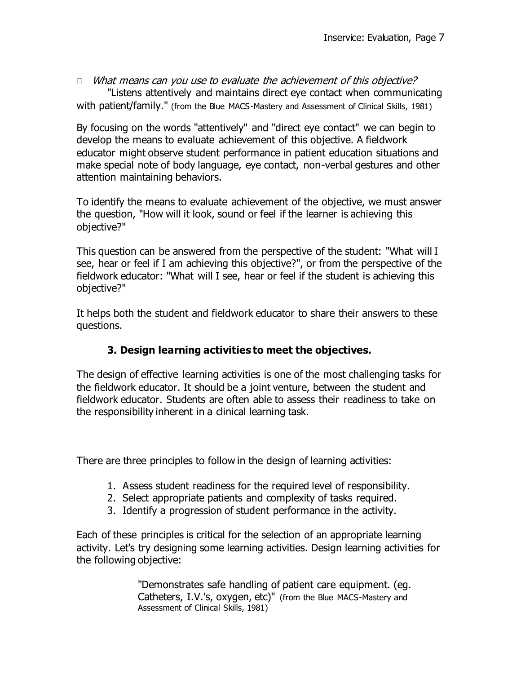$\Box$  What means can you use to evaluate the achievement of this objective? "Listens attentively and maintains direct eye contact when communicating with patient/family." (from the Blue MACS-Mastery and Assessment of Clinical Skills, 1981)

By focusing on the words "attentively" and "direct eye contact" we can begin to develop the means to evaluate achievement of this objective. A fieldwork educator might observe student performance in patient education situations and make special note of body language, eye contact, non-verbal gestures and other attention maintaining behaviors.

To identify the means to evaluate achievement of the objective, we must answer the question, "How will it look, sound or feel if the learner is achieving this objective?"

This question can be answered from the perspective of the student: "What will I see, hear or feel if I am achieving this objective?", or from the perspective of the fieldwork educator: "What will I see, hear or feel if the student is achieving this objective?"

It helps both the student and fieldwork educator to share their answers to these questions.

# **3. Design learning activities to meet the objectives.**

The design of effective learning activities is one of the most challenging tasks for the fieldwork educator. It should be a joint venture, between the student and fieldwork educator. Students are often able to assess their readiness to take on the responsibility inherent in a clinical learning task.

There are three principles to follow in the design of learning activities:

- 1. Assess student readiness for the required level of responsibility.
- 2. Select appropriate patients and complexity of tasks required.
- 3. Identify a progression of student performance in the activity.

Each of these principles is critical for the selection of an appropriate learning activity. Let's try designing some learning activities. Design learning activities for the following objective:

> "Demonstrates safe handling of patient care equipment. (eg. Catheters, I.V.'s, oxygen, etc)" (from the Blue MACS-Mastery and Assessment of Clinical Skills, 1981)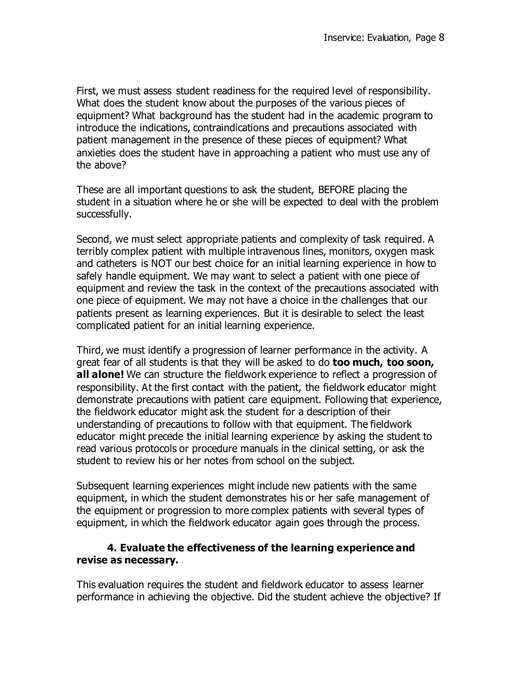First, we must assess student readiness for the required level of responsibility. What does the student know about the purposes of the various pieces of equipment? What background has the student had in the academic program to introduce the indications, contraindications and precautions associated with patient management in the presence of these pieces of equipment? What anxieties does the student have in approaching a patient who must use any of the above?

These are all important questions to ask the student, BEFORE placing the student in a situation where he or she will be expected to deal with the problem successfully.

Second, we must select appropriate patients and complexity of task required. A terribly complex patient with multiple intravenous lines, monitors, oxygen mask and catheters is NOT our best choice for an initial learning experience in how to safely handle equipment. We may want to select a patient with one piece of equipment and review the task in the context of the precautions associated with one piece of equipment. We may not have a choice in the challenges that our patients present as learning experiences. But it is desirable to select the least complicated patient for an initial learning experience.

Third, we must identify a progression of learner performance in the activity. A great fear of all students is that they will be asked to do **too much, too soon, all alone!** We can structure the fieldwork experience to reflect a progression of responsibility. At the first contact with the patient, the fieldwork educator might demonstrate precautions with patient care equipment. Following that experience, the fieldwork educator might ask the student for a description of their understanding of precautions to follow with that equipment. The fieldwork educator might precede the initial learning experience by asking the student to read various protocols or procedure manuals in the clinical setting, or ask the student to review his or her notes from school on the subject.

Subsequent learning experiences might include new patients with the same equipment, in which the student demonstrates his or her safe management of the equipment or progression to more complex patients with several types of equipment, in which the fieldwork educator again goes through the process.

#### **4. Evaluate the effectiveness of the learning experience and revise as necessary.**

This evaluation requires the student and fieldwork educator to assess learner performance in achieving the objective. Did the student achieve the objective? If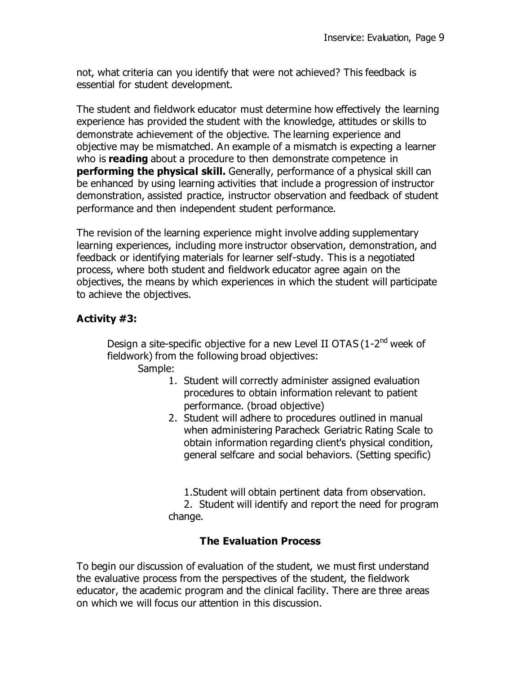not, what criteria can you identify that were not achieved? This feedback is essential for student development.

The student and fieldwork educator must determine how effectively the learning experience has provided the student with the knowledge, attitudes or skills to demonstrate achievement of the objective. The learning experience and objective may be mismatched. An example of a mismatch is expecting a learner who is **reading** about a procedure to then demonstrate competence in **performing the physical skill.** Generally, performance of a physical skill can be enhanced by using learning activities that include a progression of instructor demonstration, assisted practice, instructor observation and feedback of student performance and then independent student performance.

The revision of the learning experience might involve adding supplementary learning experiences, including more instructor observation, demonstration, and feedback or identifying materials for learner self-study. This is a negotiated process, where both student and fieldwork educator agree again on the objectives, the means by which experiences in which the student will participate to achieve the objectives.

### **Activity #3:**

Design a site-specific objective for a new Level II OTAS (1-2<sup>nd</sup> week of fieldwork) from the following broad objectives:

Sample:

- 1. Student will correctly administer assigned evaluation procedures to obtain information relevant to patient performance. (broad objective)
- 2. Student will adhere to procedures outlined in manual when administering Paracheck Geriatric Rating Scale to obtain information regarding client's physical condition, general selfcare and social behaviors. (Setting specific)

1.Student will obtain pertinent data from observation. 2. Student will identify and report the need for program change.

### **The Evaluation Process**

To begin our discussion of evaluation of the student, we must first understand the evaluative process from the perspectives of the student, the fieldwork educator, the academic program and the clinical facility. There are three areas on which we will focus our attention in this discussion.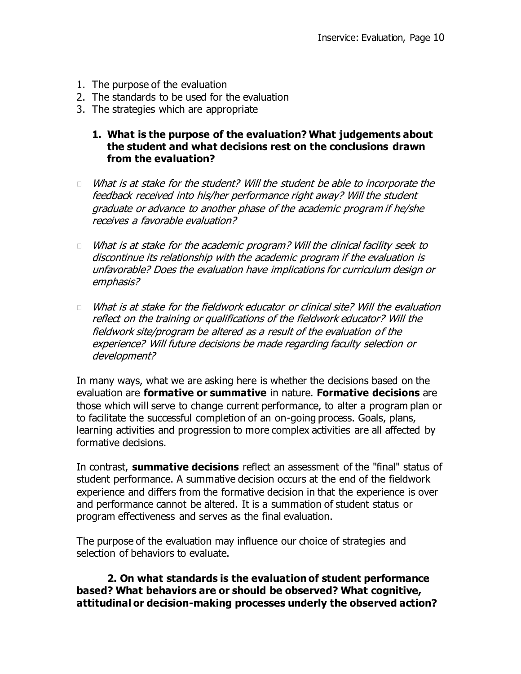- 1. The purpose of the evaluation
- 2. The standards to be used for the evaluation
- 3. The strategies which are appropriate
	- **1. What is the purpose of the evaluation? What judgements about the student and what decisions rest on the conclusions drawn from the evaluation?**
- $\Box$  What is at stake for the student? Will the student be able to incorporate the feedback received into his/her performance right away? Will the student graduate or advance to another phase of the academic program if he/she receives a favorable evaluation?
- $\Box$  What is at stake for the academic program? Will the clinical facility seek to discontinue its relationship with the academic program if the evaluation is unfavorable? Does the evaluation have implications for curriculum design or emphasis?
- What is at stake for the fieldwork educator or clinical site? Will the evaluation  $\Box$ reflect on the training or qualifications of the fieldwork educator? Will the fieldwork site/program be altered as a result of the evaluation of the experience? Will future decisions be made regarding faculty selection or development?

In many ways, what we are asking here is whether the decisions based on the evaluation are **formative or summative** in nature. **Formative decisions** are those which will serve to change current performance, to alter a program plan or to facilitate the successful completion of an on-going process. Goals, plans, learning activities and progression to more complex activities are all affected by formative decisions.

In contrast, **summative decisions** reflect an assessment of the "final" status of student performance. A summative decision occurs at the end of the fieldwork experience and differs from the formative decision in that the experience is over and performance cannot be altered. It is a summation of student status or program effectiveness and serves as the final evaluation.

The purpose of the evaluation may influence our choice of strategies and selection of behaviors to evaluate.

**2. On what standards is the evaluation of student performance based? What behaviors are or should be observed? What cognitive, attitudinal or decision-making processes underly the observed action?**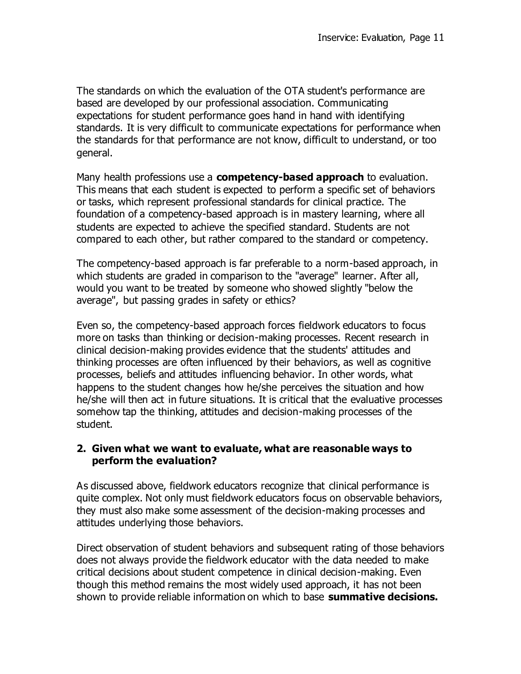The standards on which the evaluation of the OTA student's performance are based are developed by our professional association. Communicating expectations for student performance goes hand in hand with identifying standards. It is very difficult to communicate expectations for performance when the standards for that performance are not know, difficult to understand, or too general.

Many health professions use a **competency-based approach** to evaluation. This means that each student is expected to perform a specific set of behaviors or tasks, which represent professional standards for clinical practice. The foundation of a competency-based approach is in mastery learning, where all students are expected to achieve the specified standard. Students are not compared to each other, but rather compared to the standard or competency.

The competency-based approach is far preferable to a norm-based approach, in which students are graded in comparison to the "average" learner. After all, would you want to be treated by someone who showed slightly "below the average", but passing grades in safety or ethics?

Even so, the competency-based approach forces fieldwork educators to focus more on tasks than thinking or decision-making processes. Recent research in clinical decision-making provides evidence that the students' attitudes and thinking processes are often influenced by their behaviors, as well as cognitive processes, beliefs and attitudes influencing behavior. In other words, what happens to the student changes how he/she perceives the situation and how he/she will then act in future situations. It is critical that the evaluative processes somehow tap the thinking, attitudes and decision-making processes of the student.

#### **2. Given what we want to evaluate, what are reasonable ways to perform the evaluation?**

As discussed above, fieldwork educators recognize that clinical performance is quite complex. Not only must fieldwork educators focus on observable behaviors, they must also make some assessment of the decision-making processes and attitudes underlying those behaviors.

Direct observation of student behaviors and subsequent rating of those behaviors does not always provide the fieldwork educator with the data needed to make critical decisions about student competence in clinical decision-making. Even though this method remains the most widely used approach, it has not been shown to provide reliable information on which to base **summative decisions.**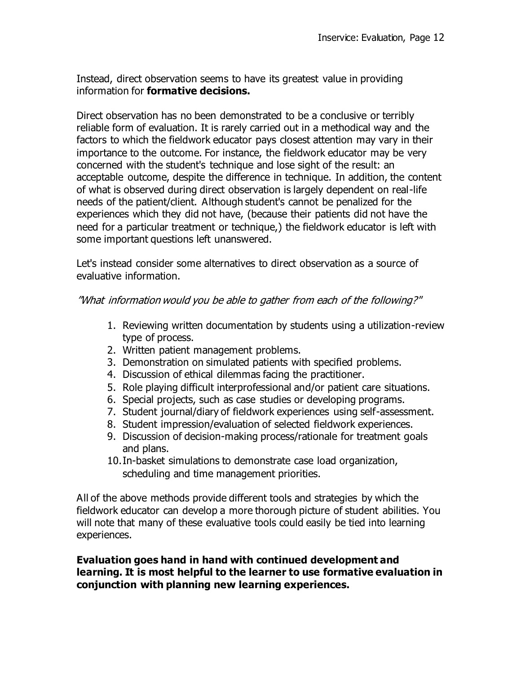Instead, direct observation seems to have its greatest value in providing information for **formative decisions.**

Direct observation has no been demonstrated to be a conclusive or terribly reliable form of evaluation. It is rarely carried out in a methodical way and the factors to which the fieldwork educator pays closest attention may vary in their importance to the outcome. For instance, the fieldwork educator may be very concerned with the student's technique and lose sight of the result: an acceptable outcome, despite the difference in technique. In addition, the content of what is observed during direct observation is largely dependent on real-life needs of the patient/client. Although student's cannot be penalized for the experiences which they did not have, (because their patients did not have the need for a particular treatment or technique,) the fieldwork educator is left with some important questions left unanswered.

Let's instead consider some alternatives to direct observation as a source of evaluative information.

"What information would you be able to gather from each of the following?"

- 1. Reviewing written documentation by students using a utilization-review type of process.
- 2. Written patient management problems.
- 3. Demonstration on simulated patients with specified problems.
- 4. Discussion of ethical dilemmas facing the practitioner.
- 5. Role playing difficult interprofessional and/or patient care situations.
- 6. Special projects, such as case studies or developing programs.
- 7. Student journal/diary of fieldwork experiences using self-assessment.
- 8. Student impression/evaluation of selected fieldwork experiences.
- 9. Discussion of decision-making process/rationale for treatment goals and plans.
- 10.In-basket simulations to demonstrate case load organization, scheduling and time management priorities.

All of the above methods provide different tools and strategies by which the fieldwork educator can develop a more thorough picture of student abilities. You will note that many of these evaluative tools could easily be tied into learning experiences.

### **Evaluation goes hand in hand with continued development and learning. It is most helpful to the learner to use formative evaluation in conjunction with planning new learning experiences.**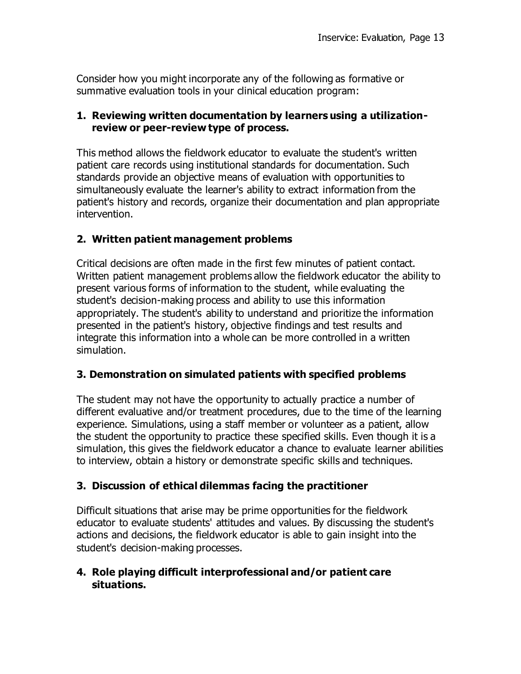Consider how you might incorporate any of the following as formative or summative evaluation tools in your clinical education program:

#### **1. Reviewing written documentation by learners using a utilizationreview or peer-review type of process.**

This method allows the fieldwork educator to evaluate the student's written patient care records using institutional standards for documentation. Such standards provide an objective means of evaluation with opportunities to simultaneously evaluate the learner's ability to extract information from the patient's history and records, organize their documentation and plan appropriate intervention.

### **2. Written patient management problems**

Critical decisions are often made in the first few minutes of patient contact. Written patient management problems allow the fieldwork educator the ability to present various forms of information to the student, while evaluating the student's decision-making process and ability to use this information appropriately. The student's ability to understand and prioritize the information presented in the patient's history, objective findings and test results and integrate this information into a whole can be more controlled in a written simulation.

#### **3. Demonstration on simulated patients with specified problems**

The student may not have the opportunity to actually practice a number of different evaluative and/or treatment procedures, due to the time of the learning experience. Simulations, using a staff member or volunteer as a patient, allow the student the opportunity to practice these specified skills. Even though it is a simulation, this gives the fieldwork educator a chance to evaluate learner abilities to interview, obtain a history or demonstrate specific skills and techniques.

### **3. Discussion of ethical dilemmas facing the practitioner**

Difficult situations that arise may be prime opportunities for the fieldwork educator to evaluate students' attitudes and values. By discussing the student's actions and decisions, the fieldwork educator is able to gain insight into the student's decision-making processes.

#### **4. Role playing difficult interprofessional and/or patient care situations.**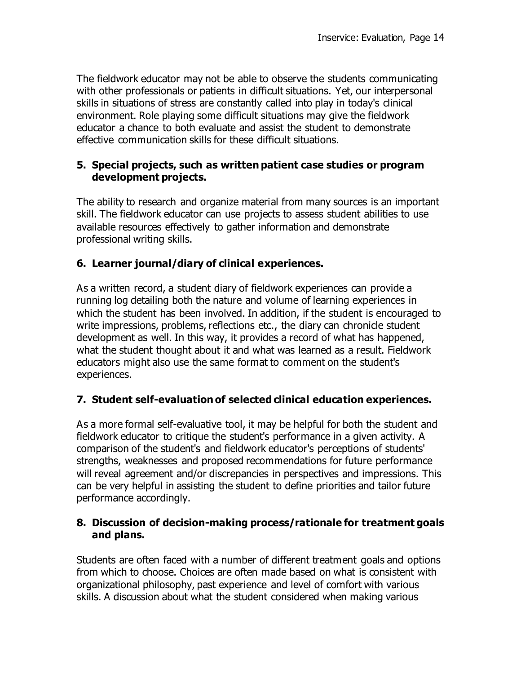The fieldwork educator may not be able to observe the students communicating with other professionals or patients in difficult situations. Yet, our interpersonal skills in situations of stress are constantly called into play in today's clinical environment. Role playing some difficult situations may give the fieldwork educator a chance to both evaluate and assist the student to demonstrate effective communication skills for these difficult situations.

#### **5. Special projects, such as written patient case studies or program development projects.**

The ability to research and organize material from many sources is an important skill. The fieldwork educator can use projects to assess student abilities to use available resources effectively to gather information and demonstrate professional writing skills.

## **6. Learner journal/diary of clinical experiences.**

As a written record, a student diary of fieldwork experiences can provide a running log detailing both the nature and volume of learning experiences in which the student has been involved. In addition, if the student is encouraged to write impressions, problems, reflections etc., the diary can chronicle student development as well. In this way, it provides a record of what has happened, what the student thought about it and what was learned as a result. Fieldwork educators might also use the same format to comment on the student's experiences.

# **7. Student self-evaluation of selected clinical education experiences.**

As a more formal self-evaluative tool, it may be helpful for both the student and fieldwork educator to critique the student's performance in a given activity. A comparison of the student's and fieldwork educator's perceptions of students' strengths, weaknesses and proposed recommendations for future performance will reveal agreement and/or discrepancies in perspectives and impressions. This can be very helpful in assisting the student to define priorities and tailor future performance accordingly.

### **8. Discussion of decision-making process/rationale for treatment goals and plans.**

Students are often faced with a number of different treatment goals and options from which to choose. Choices are often made based on what is consistent with organizational philosophy, past experience and level of comfort with various skills. A discussion about what the student considered when making various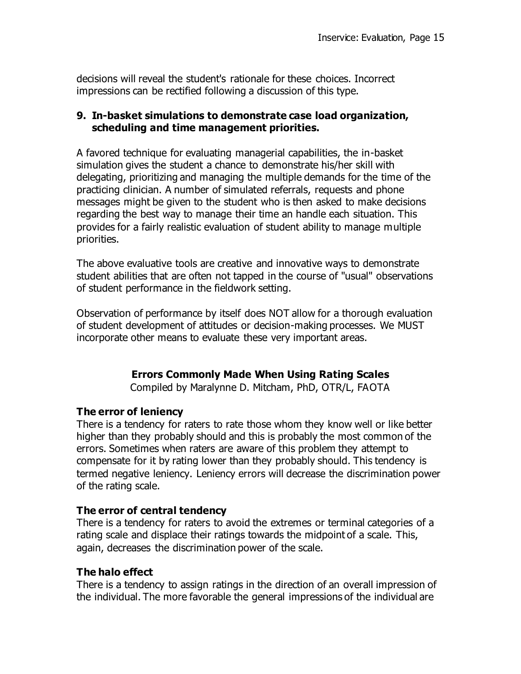decisions will reveal the student's rationale for these choices. Incorrect impressions can be rectified following a discussion of this type.

#### **9. In-basket simulations to demonstrate case load organization, scheduling and time management priorities.**

A favored technique for evaluating managerial capabilities, the in-basket simulation gives the student a chance to demonstrate his/her skill with delegating, prioritizing and managing the multiple demands for the time of the practicing clinician. A number of simulated referrals, requests and phone messages might be given to the student who is then asked to make decisions regarding the best way to manage their time an handle each situation. This provides for a fairly realistic evaluation of student ability to manage multiple priorities.

The above evaluative tools are creative and innovative ways to demonstrate student abilities that are often not tapped in the course of "usual" observations of student performance in the fieldwork setting.

Observation of performance by itself does NOT allow for a thorough evaluation of student development of attitudes or decision-making processes. We MUST incorporate other means to evaluate these very important areas.

# **Errors Commonly Made When Using Rating Scales**

Compiled by Maralynne D. Mitcham, PhD, OTR/L, FAOTA

### **The error of leniency**

There is a tendency for raters to rate those whom they know well or like better higher than they probably should and this is probably the most common of the errors. Sometimes when raters are aware of this problem they attempt to compensate for it by rating lower than they probably should. This tendency is termed negative leniency. Leniency errors will decrease the discrimination power of the rating scale.

### **The error of central tendency**

There is a tendency for raters to avoid the extremes or terminal categories of a rating scale and displace their ratings towards the midpoint of a scale. This, again, decreases the discrimination power of the scale.

### **The halo effect**

There is a tendency to assign ratings in the direction of an overall impression of the individual. The more favorable the general impressions of the individual are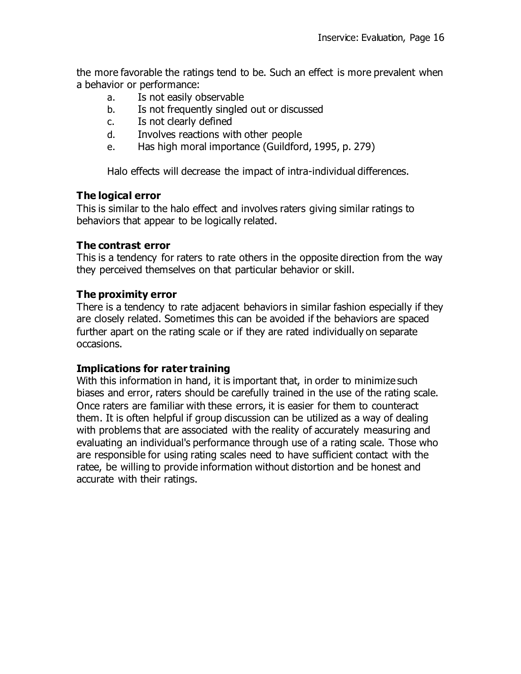the more favorable the ratings tend to be. Such an effect is more prevalent when a behavior or performance:

- a. Is not easily observable
- b. Is not frequently singled out or discussed
- c. Is not clearly defined
- d. Involves reactions with other people
- e. Has high moral importance (Guildford, 1995, p. 279)

Halo effects will decrease the impact of intra-individual differences.

#### **The logical error**

This is similar to the halo effect and involves raters giving similar ratings to behaviors that appear to be logically related.

#### **The contrast error**

This is a tendency for raters to rate others in the opposite direction from the way they perceived themselves on that particular behavior or skill.

#### **The proximity error**

There is a tendency to rate adjacent behaviors in similar fashion especially if they are closely related. Sometimes this can be avoided if the behaviors are spaced further apart on the rating scale or if they are rated individually on separate occasions.

#### **Implications for rater training**

With this information in hand, it is important that, in order to minimize such biases and error, raters should be carefully trained in the use of the rating scale. Once raters are familiar with these errors, it is easier for them to counteract them. It is often helpful if group discussion can be utilized as a way of dealing with problems that are associated with the reality of accurately measuring and evaluating an individual's performance through use of a rating scale. Those who are responsible for using rating scales need to have sufficient contact with the ratee, be willing to provide information without distortion and be honest and accurate with their ratings.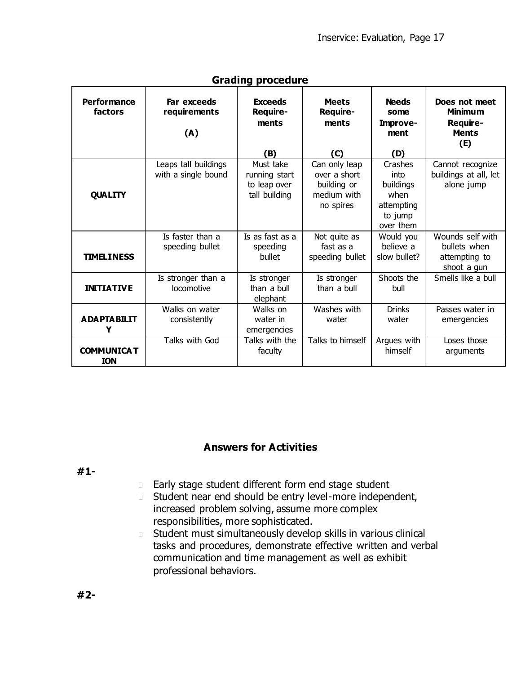| יין כ                         |                                    |                                            |                                          |                                                 |                                                                    |  |  |
|-------------------------------|------------------------------------|--------------------------------------------|------------------------------------------|-------------------------------------------------|--------------------------------------------------------------------|--|--|
| <b>Performance</b><br>factors | Far exceeds<br>requirements<br>(A) | <b>Exceeds</b><br>Require-<br>ments<br>(B) | <b>Meets</b><br>Require-<br>ments<br>(C) | <b>Needs</b><br>some<br>Improve-<br>ment<br>(D) | Does not meet<br><b>Minimum</b><br>Require-<br><b>Ments</b><br>(E) |  |  |
|                               | Leaps tall buildings               | Must take                                  | Can only leap                            | Crashes                                         | Cannot recognize                                                   |  |  |
|                               | with a single bound                | running start                              | over a short                             | into                                            | buildings at all, let                                              |  |  |
|                               |                                    | to leap over                               | building or                              | buildings                                       | alone jump                                                         |  |  |
| <b>QUALITY</b>                |                                    | tall building                              | medium with                              | when                                            |                                                                    |  |  |
|                               |                                    |                                            | no spires                                | attempting                                      |                                                                    |  |  |
|                               |                                    |                                            |                                          | to jump                                         |                                                                    |  |  |
|                               |                                    |                                            |                                          | over them                                       |                                                                    |  |  |
|                               | Is faster than a                   | Is as fast as a                            | Not quite as                             | Would you                                       | Wounds self with                                                   |  |  |
|                               | speeding bullet                    | speeding                                   | fast as a                                | believe a                                       | bullets when                                                       |  |  |
| <b>TIMELINESS</b>             |                                    | bullet                                     | speeding bullet                          | slow bullet?                                    | attempting to                                                      |  |  |
|                               |                                    |                                            |                                          |                                                 | shoot a gun                                                        |  |  |
|                               | Is stronger than a                 | Is stronger                                | Is stronger                              | Shoots the                                      | Smells like a bull                                                 |  |  |
| <b>INITIATIVE</b>             | locomotive                         | than a bull                                | than a bull                              | bull                                            |                                                                    |  |  |
|                               |                                    | elephant                                   |                                          |                                                 |                                                                    |  |  |
|                               | Walks on water                     | Walks on                                   | Washes with                              | <b>Drinks</b>                                   | Passes water in                                                    |  |  |
| <b>ADAPTABILIT</b>            | consistently                       | water in                                   | water                                    | water                                           | emergencies                                                        |  |  |
| Y                             |                                    | emergencies                                |                                          |                                                 |                                                                    |  |  |
|                               | Talks with God                     | Talks with the                             | Talks to himself                         | Argues with                                     | Loses those                                                        |  |  |
| <b>COMMUNICA T</b>            |                                    | faculty                                    |                                          | himself                                         | arguments                                                          |  |  |
| <b>ION</b>                    |                                    |                                            |                                          |                                                 |                                                                    |  |  |

#### **Grading procedure**

### **Answers for Activities**

**#1-**

- **Early stage student different form end stage student**
- Student near end should be entry level-more independent,  $\Box$ increased problem solving, assume more complex responsibilities, more sophisticated.
- Student must simultaneously develop skills in various clinical  $\Box$ tasks and procedures, demonstrate effective written and verbal communication and time management as well as exhibit professional behaviors.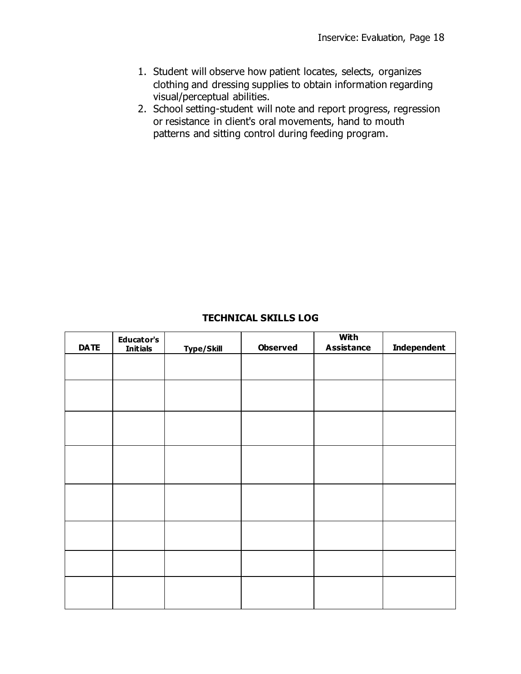- 1. Student will observe how patient locates, selects, organizes clothing and dressing supplies to obtain information regarding visual/perceptual abilities.
- 2. School setting-student will note and report progress, regression or resistance in client's oral movements, hand to mouth patterns and sitting control during feeding program.

#### **TECHNICAL SKILLS LOG**

| <b>DATE</b> | <b>Educator's</b><br><b>Initials</b> | <b>Type/Skill</b> | <b>Observed</b> | <b>With</b><br><b>Assistance</b> | <b>Independent</b> |
|-------------|--------------------------------------|-------------------|-----------------|----------------------------------|--------------------|
|             |                                      |                   |                 |                                  |                    |
|             |                                      |                   |                 |                                  |                    |
|             |                                      |                   |                 |                                  |                    |
|             |                                      |                   |                 |                                  |                    |
|             |                                      |                   |                 |                                  |                    |
|             |                                      |                   |                 |                                  |                    |
|             |                                      |                   |                 |                                  |                    |
|             |                                      |                   |                 |                                  |                    |
|             |                                      |                   |                 |                                  |                    |
|             |                                      |                   |                 |                                  |                    |
|             |                                      |                   |                 |                                  |                    |
|             |                                      |                   |                 |                                  |                    |
|             |                                      |                   |                 |                                  |                    |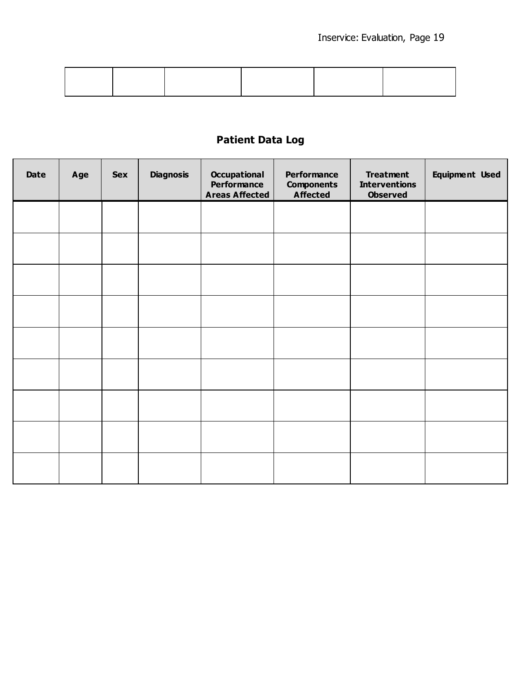# **Patient Data Log**

| Date | Age | <b>Sex</b> | <b>Diagnosis</b> | <b>Occupational</b><br>Performance<br><b>Areas Affected</b> | Performance<br><b>Components</b><br><b>Affected</b> | <b>Treatment</b><br><b>Interventions</b><br><b>Observed</b> | <b>Equipment Used</b> |
|------|-----|------------|------------------|-------------------------------------------------------------|-----------------------------------------------------|-------------------------------------------------------------|-----------------------|
|      |     |            |                  |                                                             |                                                     |                                                             |                       |
|      |     |            |                  |                                                             |                                                     |                                                             |                       |
|      |     |            |                  |                                                             |                                                     |                                                             |                       |
|      |     |            |                  |                                                             |                                                     |                                                             |                       |
|      |     |            |                  |                                                             |                                                     |                                                             |                       |
|      |     |            |                  |                                                             |                                                     |                                                             |                       |
|      |     |            |                  |                                                             |                                                     |                                                             |                       |
|      |     |            |                  |                                                             |                                                     |                                                             |                       |
|      |     |            |                  |                                                             |                                                     |                                                             |                       |